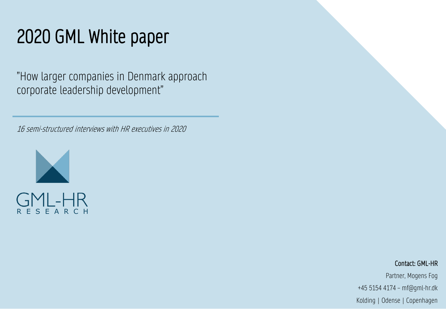# 2020 GML White paper

"How larger companies in Denmark approach corporate leadership development"

16 semi-structured interviews with HR executives in 2020



#### Contact: GML-HR

Partner, Mogens Fog +45 5154 4174 – mf@gml-hr.dk Kolding | Odense | Copenhagen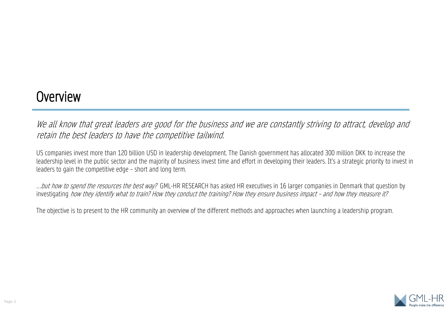### **Overview**

We all know that great leaders are good for the business and we are constantly striving to attract, develop and retain the best leaders to have the competitive tailwind.

US companies invest more than 120 billion USD in leadership development. The Danish government has allocated 300 million DKK to increase the leadership level in the public sector and the majority of business invest time and effort in developing their leaders. It's a strategic priority to invest in leaders to gain the competitive edge – short and long term.

...but how to spend the resources the best way? GML-HR RESEARCH has asked HR executives in 16 larger companies in Denmark that question by investigating how they identify what to train? How they conduct the training? How they ensure business impact – and how they measure it?

The objective is to present to the HR community an overview of the different methods and approaches when launching a leadership program.

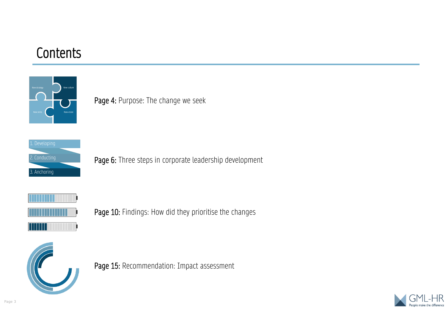### **Contents**



Page 4: Purpose: The change we seek



Page 6: Three steps in corporate leadership development



Page 10: Findings: How did they prioritise the changes



Page 15: Recommendation: Impact assessment

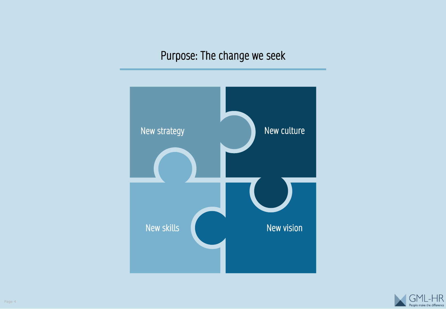### Purpose: The change we seek



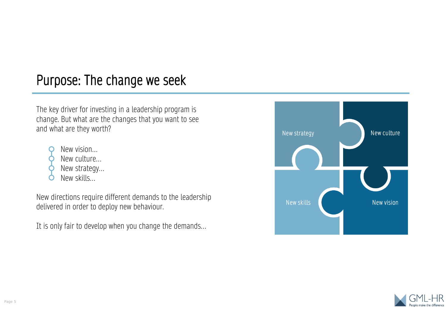### Purpose: The change we seek

The key driver for investing in a leadership program is change. But what are the changes that you want to see and what are they worth?

- New vision…
- New culture…
- New strategy…
- New skills…

New directions require different demands to the leadership delivered in order to deploy new behaviour.

It is only fair to develop when you change the demands…



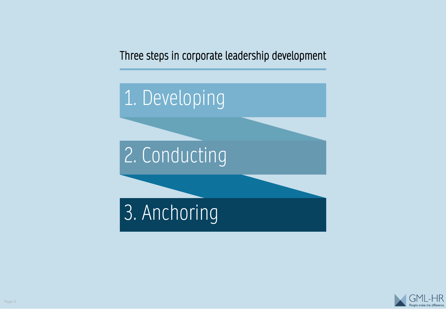Three steps in corporate leadership development



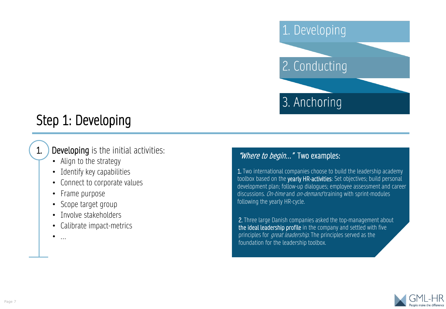

### Step 1: Developing

### 1. Developing is the initial activities:

- Align to the strategy
- Identify key capabilities
- Connect to corporate values
- Frame purpose
- Scope target group
- Involve stakeholders
- Calibrate impact-metrics
- …

#### "Where to begin..." Two examples:

1. Two international companies choose to build the leadership academy toolbox based on the yearly HR-activities: Set objectives; build personal development plan; follow-up dialogues; employee assessment and career discussions. On-time and on-demand training with sprint-modules following the yearly HR-cycle.

2. Three large Danish companies asked the top-management about the ideal leadership profile in the company and settled with five principles for *great leadership*. The principles served as the foundation for the leadership toolbox.

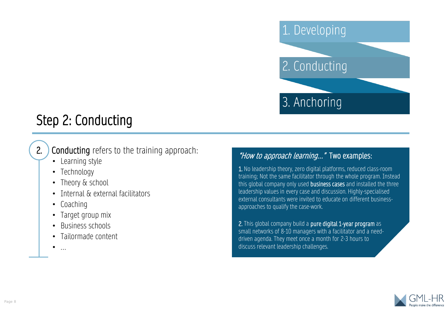

# Step 2: Conducting

### 2. Conducting refers to the training approach:

- Learning style
- Technology
- Theory & school
- Internal & external facilitators
- Coaching
- Target group mix
- Business schools
- Tailormade content
- …

#### "How to approach learning..." Two examples:

1. No leadership theory, zero digital platforms, reduced class-room training; Not the same facilitator through the whole program. Instead this global company only used **business cases** and installed the three leadership values in every case and discussion. Highly-specialised external consultants were invited to educate on different businessapproaches to qualify the case-work.

2. This global company build a pure digital 1-year program as small networks of 8-10 managers with a facilitator and a needdriven agenda. They meet once a month for 2-3 hours to discuss relevant leadership challenges.

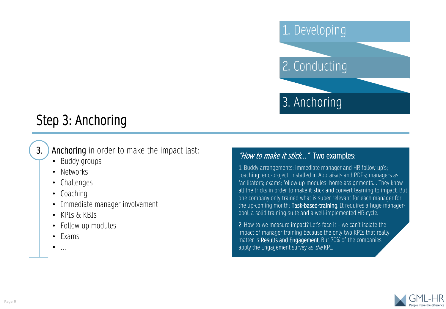

# Step 3: Anchoring

### **3.** Anchoring in order to make the impact last:

- Buddy groups
- Networks
- Challenges
- Coaching
- Immediate manager involvement
- KPIs & KBIs
- Follow-up modules
- Exams
- …

#### "How to make it stick..." Two examples:

1. Buddy-arrangements; immediate manager and HR follow-up's; coaching; end-project; installed in Appraisals and PDPs; managers as facilitators; exams; follow-up modules; home-assignments… They know all the tricks in order to make it stick and convert learning to impact. But one company only trained what is super relevant for each manager for the up-coming month: Task-based-training. It requires a huge managerpool, a solid training-suite and a well-implemented HR-cycle.

2. How to we measure impact? Let's face it – we can't isolate the impact of manager training because the only two KPIs that really matter is Results and Engagement. But 70% of the companies apply the Engagement survey as *the* KPI.

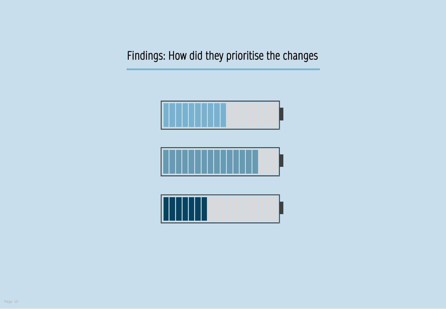Findings: How did they prioritise the changes





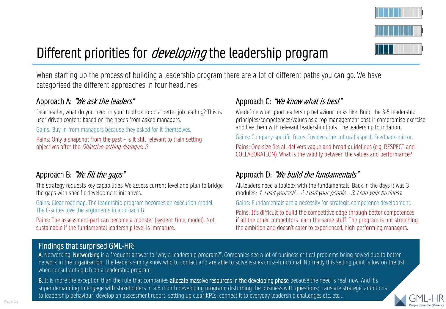

# Different priorities for *developing* the leadership program

When starting up the process of building a leadership program there are a lot of different paths you can go. We have categorised the different approaches in four headlines:

#### Approach A: "We ask the leaders"

Dear leader, what do you need in your toolbox to do a better job leading? This is user-driven content based on the needs from asked managers.

Gains: Buy-in from managers because they asked for it themselves.

Pains: Only a snapshot from the past – is it still relevant to train setting objectives after the Objective-setting-dialogue…?

#### Approach B: "We fill the gaps"

The strategy requests key capabilities. We assess current level and plan to bridge the gaps with specific development initiatives.

Gains: Clear roadmap. The leadership program becomes an execution-model. The C-suites love the arguments in approach B.

Pains: The assessment-part can become a monster (system, time, model). Not sustainable if the fundamental leadership level is immature.

#### Approach C: "We know what is best"

We define what good leadership behaviour looks like. Build the 3-5 leadership principles/competences/values as a top-management post-it-compromise-exercise and live them with relevant leadership tools. The leadership foundation.

Gains: Company-specific focus. Involves the cultural aspect. Feedback-mirror.

Pains: One-size fits all delivers vague and broad guidelines (e.g. RESPECT and COLLABORATION). What is the validity between the values and performance?

#### Approach D: "We build the fundamentals"

All leaders need a toolbox with the fundamentals. Back in the days it was 3 modules: 1. Lead yourself – 2. Lead your people – 3. Lead your business.

Gains: Fundamentals are a necessity for strategic competence development.

Pains: It's difficult to build the competitive edge through better competences if all the other competitors learn the same stuff. The program is not stretching the ambition and doesn't cater to experienced, high-performing managers.

#### Findings that surprised GML-HR:

A. Networking. Networking is a frequent answer to "why a leadership program?". Companies see a lot of business critical problems being solved due to better network in the organisation. The leaders simply know who to contact and are able to solve issues cross-functional. Normally this selling point is low on the list when consultants pitch on a leadership program.

B. It is more the exception than the rule that companies allocate massive resources in the developing phase because the need is real, now. And it's super demanding to engage with stakeholders in a 6 month developing program; disturbing the business with questions; translate strategic ambitions to leadership behaviour; develop an assessment report; setting up clear KPIs; connect it to everyday leadership challenges etc. etc…

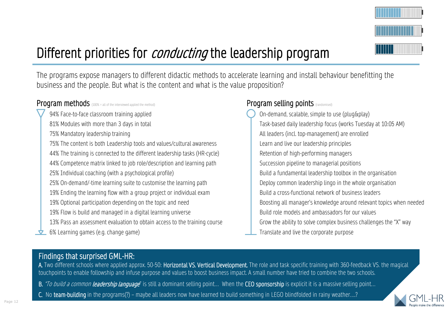

# Different priorities for *conducting* the leadership program

The programs expose managers to different didactic methods to accelerate learning and install behaviour benefitting the business and the people. But what is the content and what is the value proposition?

#### Program methods (100% = all of the interviewed applied the method)

94% Face-to-face classroom training applied

81% Modules with more than 3 days in total

75% Mandatory leadership training

75% The content is both Leadership tools and values/cultural awareness

44% The training is connected to the different leadership tasks (HR-cycle)

44% Competence matrix linked to job role/description and learning path

25% Individual coaching (with a psychological profile)

25% On-demand/-time learning suite to customise the learning path

19% Ending the learning flow with a group project or individual exam

19% Optional participation depending on the topic and need

19% Flow is build and managed in a digital learning universe

13% Pass an assessment evaluation to obtain access to the training course

6% Learning games (e.g. change game)

#### Program selling points (randomised)

On-demand, scalable, simple to use (plug&play) Task-based daily leadership focus (works Tuesday at 10:05 AM) All leaders (incl. top-management) are enrolled Learn and live our leadership principles Retention of high-performing managers Succession pipeline to managerial positions Build a fundamental leadership toolbox in the organisation Deploy common leadership lingo in the whole organisation Build a cross-functional network of business leaders Boosting all manager's knowledge around relevant topics when needed Build role models and ambassadors for our values Grow the ability to solve complex business challenges the "X" way Translate and live the corporate purpose

#### Findings that surprised GML-HR:

A. Two different schools where applied approx. 50-50: Horizontal VS. Vertical Development. The role and task specific training with 360-feedback VS. the magical touchpoints to enable followship and infuse purpose and values to boost business impact. A small number have tried to combine the two schools.

- B. "To build a common leadership language" is still a dominant selling point... When the CEO sponsorship is explicit it is a massive selling point...
- C. No team-building in the programs(?) maybe all leaders now have learned to build something in LEGO blindfolded in rainy weather….?

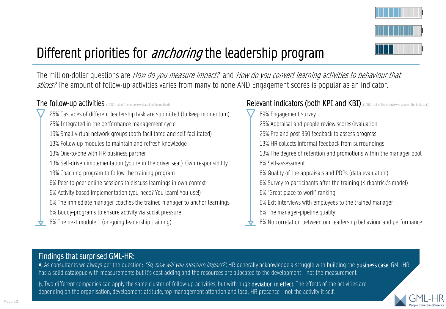

# Different priorities for *anchoring* the leadership program

The million-dollar questions are *How do you measure impact?* and *How do you convert learning activities to behaviour that* sticks? The amount of follow-up activities varies from many to none AND Engagement scores is popular as an indicator.

#### The follow-up activities (100% = all of the interviewed applied the method)

25% Cascades of different leadership task are submitted (to keep momentum) 25% Integrated in the performance management cycle 19% Small virtual network groups (both facilitated and self-facilitated) 13% Follow-up modules to maintain and refresh knowledge 13% One-to-one with HR business partner 13% Self-driven implementation (you're in the driver seat). Own responsibility 13% Coaching program to follow the training program 6% Peer-to-peer online sessions to discuss learnings in own context 6% Activity-based implementation (you need? You learn! You use!) 6% The immediate manager coaches the trained manager to anchor learnings 6% Buddy-programs to ensure activity via social pressure 6% The next module… (on-going leadership training)

#### Relevant indicators (both KPI and KBI) (100% = all of the interviewed applied the indicator)

- 69% Engagement survey
	- 25% Appraisal and people review scores/evaluation
	- 25% Pre and post 360 feedback to assess progress
	- 13% HR collects informal feedback from surroundings
	- 13% The degree of retention and promotions within the manager pool 6% Self-assessment
	- 6% Quality of the appraisals and PDPs (data evaluation)
	- 6% Survey to participants after the training (Kirkpatrick's model)
	- 6% "Great place to work" ranking
	- 6% Exit interviews with employees to the trained manager
- 6% The manager-pipeline quality
- 6% No correlation between our leadership behaviour and performance

#### Findings that surprised GML-HR:

A. As consultants we always get the question: "So, how will you measure impact?". HR generally acknowledge a struggle with building the **business case**. GML-HR has a solid catalogue with measurements but it's cost-adding and the resources are allocated to the development – not the measurement.

B. Two different companies can apply the same cluster of follow-up activities, but with huge deviation in effect. The effects of the activities are depending on the organisation, development-attitude, top-management attention and local HR presence – not the activity it self.

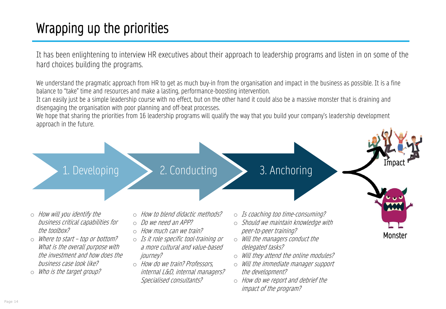# Wrapping up the priorities

It has been enlightening to interview HR executives about their approach to leadership programs and listen in on some of the hard choices building the programs.

We understand the pragmatic approach from HR to get as much buy-in from the organisation and impact in the business as possible. It is a fine balance to "take" time and resources and make a lasting, performance-boosting intervention.

It can easily just be a simple leadership course with no effect, but on the other hand it could also be a massive monster that is draining and disengaging the organisation with poor planning and off-beat processes.

We hope that sharing the priorities from 16 leadership programs will qualify the way that you build your company's leadership development approach in the future.



### 1. Developing 2. Conducting 3. Anchoring

Impact

Monster

- o How will you identify the business critical capabilities for the toolbox?
- o Where to start top or bottom? What is the overall purpose with the investment and how does the business case look like?
- o Who is the target group?
- o How to blend didactic methods?
- o Do we need an APP?
- o How much can we train?
- o Is it role specific tool-training or a more cultural and value-based journey?
- o How do we train? Professors, internal L&D, internal managers? Specialised consultants?
- o Is coaching too time-consuming?
- $\circ$  Should we maintain knowledge with peer-to-peer training?
- o Will the managers conduct the delegated tasks?
- o Will they attend the online modules?
- o Will the immediate manager support the development?
- o How do we report and debrief the impact of the program?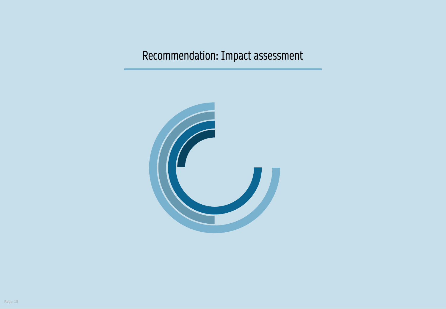### Recommendation: Impact assessment

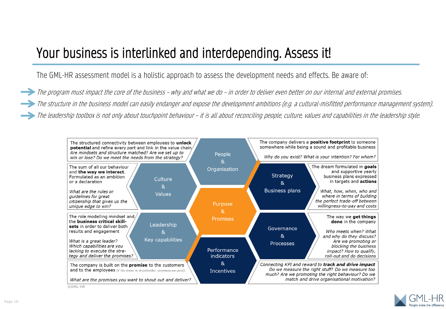### Your business is interlinked and interdepending. Assess it!

The GML-HR assessment model is a holistic approach to assess the development needs and effects. Be aware of:

The program must impact the core of the business – why and what we do – in order to deliver even better on our internal and external promises. The structure in the business model can easily endanger and expose the development ambitions (e.g. a cultural-misfitted performance management system). The leadership toolbox is not only about touchpoint behaviour – it is all about reconciling people, culture, values and capabilities in the leadership style.



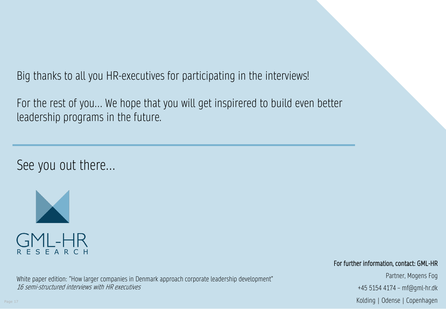Big thanks to all you HR-executives for participating in the interviews!

For the rest of you… We hope that you will get inspirered to build even better leadership programs in the future.

See you out there…



White paper edition: "How larger companies in Denmark approach corporate leadership development" 16 semi-structured interviews with HR executives

#### For further information, contact: GML-HR

Partner, Mogens Fog +45 5154 4174 – mf@gml-hr.dk Kolding | Odense | Copenhagen